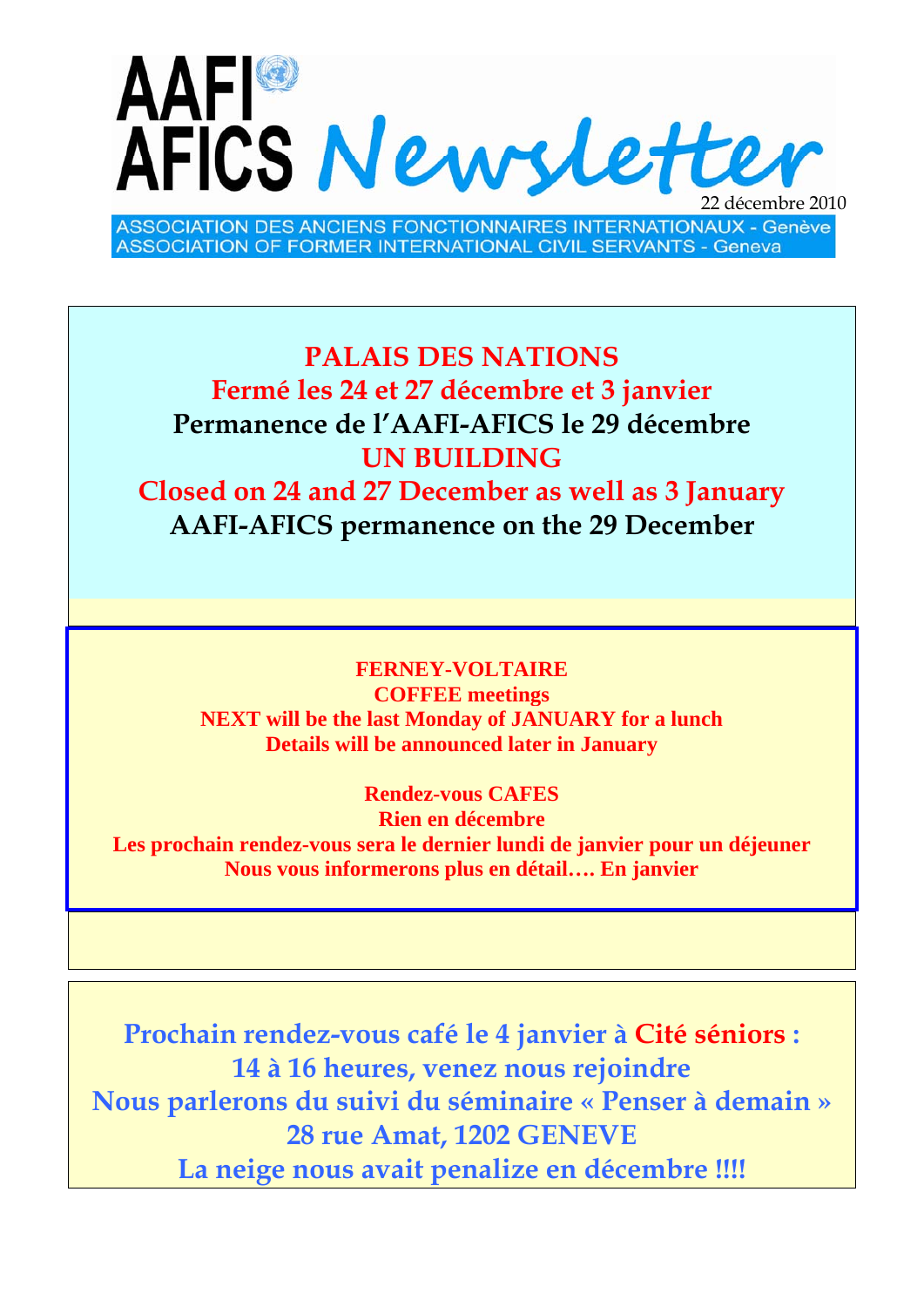

**ASSOCIATION DES ANCIENS FONCTIONNAIRES INTERNATIONAUX - Genève ASSOCIATION OF FORMER INTERNATIONAL CIVIL SERVANTS - Geneva** 

## **PALAIS DES NATIONS Fermé les 24 et 27 décembre et 3 janvier Permanence de l'AAFI-AFICS le 29 décembre UN BUILDING**

**Closed on 24 and 27 December as well as 3 January AAFI-AFICS permanence on the 29 December** 

**FERNEY-VOLTAIRE COFFEE meetings NEXT will be the last Monday of JANUARY for a lunch Details will be announced later in January** 

**Rendez-vous CAFES Rien en décembre Les prochain rendez-vous sera le dernier lundi de janvier pour un déjeuner Nous vous informerons plus en détail…. En janvier** 

**Prochain rendez-vous café le 4 janvier à Cité séniors : 14 à 16 heures, venez nous rejoindre Nous parlerons du suivi du séminaire « Penser à demain » 28 rue Amat, 1202 GENEVE La neige nous avait penalize en décembre !!!!**